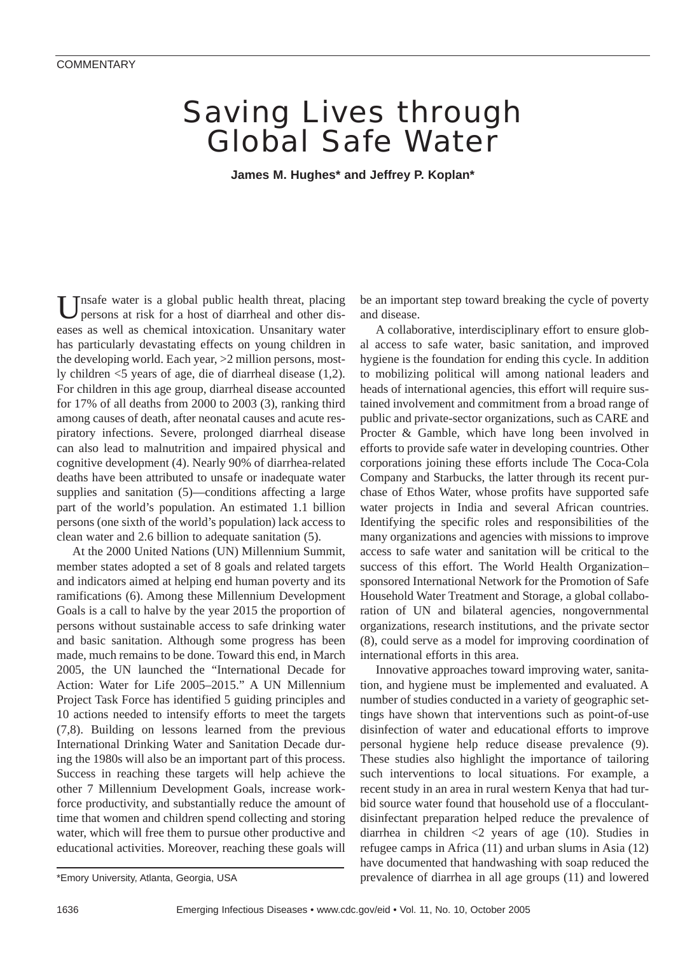## Saving Lives through Global Safe Water

**James M. Hughes\* and Jeffrey P. Koplan\***

Tnsafe water is a global public health threat, placing persons at risk for a host of diarrheal and other diseases as well as chemical intoxication. Unsanitary water has particularly devastating effects on young children in the developing world. Each year, >2 million persons, mostly children <5 years of age, die of diarrheal disease (1,2). For children in this age group, diarrheal disease accounted for 17% of all deaths from 2000 to 2003 (3), ranking third among causes of death, after neonatal causes and acute respiratory infections. Severe, prolonged diarrheal disease can also lead to malnutrition and impaired physical and cognitive development (4). Nearly 90% of diarrhea-related deaths have been attributed to unsafe or inadequate water supplies and sanitation (5)—conditions affecting a large part of the world's population. An estimated 1.1 billion persons (one sixth of the world's population) lack access to clean water and 2.6 billion to adequate sanitation (5).

At the 2000 United Nations (UN) Millennium Summit, member states adopted a set of 8 goals and related targets and indicators aimed at helping end human poverty and its ramifications (6). Among these Millennium Development Goals is a call to halve by the year 2015 the proportion of persons without sustainable access to safe drinking water and basic sanitation. Although some progress has been made, much remains to be done. Toward this end, in March 2005, the UN launched the "International Decade for Action: Water for Life 2005–2015." A UN Millennium Project Task Force has identified 5 guiding principles and 10 actions needed to intensify efforts to meet the targets (7,8). Building on lessons learned from the previous International Drinking Water and Sanitation Decade during the 1980s will also be an important part of this process. Success in reaching these targets will help achieve the other 7 Millennium Development Goals, increase workforce productivity, and substantially reduce the amount of time that women and children spend collecting and storing water, which will free them to pursue other productive and educational activities. Moreover, reaching these goals will

be an important step toward breaking the cycle of poverty and disease.

A collaborative, interdisciplinary effort to ensure global access to safe water, basic sanitation, and improved hygiene is the foundation for ending this cycle. In addition to mobilizing political will among national leaders and heads of international agencies, this effort will require sustained involvement and commitment from a broad range of public and private-sector organizations, such as CARE and Procter & Gamble, which have long been involved in efforts to provide safe water in developing countries. Other corporations joining these efforts include The Coca-Cola Company and Starbucks, the latter through its recent purchase of Ethos Water, whose profits have supported safe water projects in India and several African countries. Identifying the specific roles and responsibilities of the many organizations and agencies with missions to improve access to safe water and sanitation will be critical to the success of this effort. The World Health Organization– sponsored International Network for the Promotion of Safe Household Water Treatment and Storage, a global collaboration of UN and bilateral agencies, nongovernmental organizations, research institutions, and the private sector (8), could serve as a model for improving coordination of international efforts in this area.

Innovative approaches toward improving water, sanitation, and hygiene must be implemented and evaluated. A number of studies conducted in a variety of geographic settings have shown that interventions such as point-of-use disinfection of water and educational efforts to improve personal hygiene help reduce disease prevalence (9). These studies also highlight the importance of tailoring such interventions to local situations. For example, a recent study in an area in rural western Kenya that had turbid source water found that household use of a flocculantdisinfectant preparation helped reduce the prevalence of diarrhea in children  $\langle 2 \rangle$  years of age (10). Studies in refugee camps in Africa (11) and urban slums in Asia (12) have documented that handwashing with soap reduced the prevalence of diarrhea in all age groups (11) and lowered

<sup>\*</sup>Emory University, Atlanta, Georgia, USA